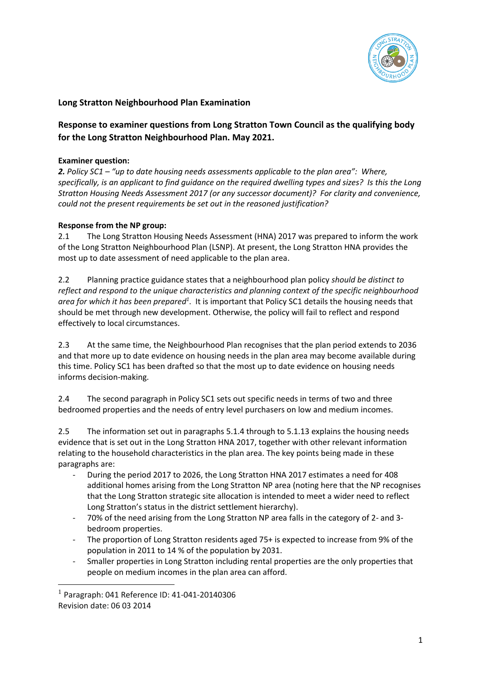

## **Long Stratton Neighbourhood Plan Examination**

# **Response to examiner questions from Long Stratton Town Council as the qualifying body for the Long Stratton Neighbourhood Plan. May 2021.**

#### **Examiner question:**

*2. Policy SC1 – "up to date housing needs assessments applicable to the plan area": Where, specifically, is an applicant to find guidance on the required dwelling types and sizes? Is this the Long Stratton Housing Needs Assessment 2017 (or any successor document)? For clarity and convenience, could not the present requirements be set out in the reasoned justification?*

#### **Response from the NP group:**

2.1 The Long Stratton Housing Needs Assessment (HNA) 2017 was prepared to inform the work of the Long Stratton Neighbourhood Plan (LSNP). At present, the Long Stratton HNA provides the most up to date assessment of need applicable to the plan area.

2.2 Planning practice guidance states that a neighbourhood plan policy *should be distinct to reflect and respond to the unique characteristics and planning context of the specific neighbourhood area for which it has been prepared<sup>1</sup>* . It is important that Policy SC1 details the housing needs that should be met through new development. Otherwise, the policy will fail to reflect and respond effectively to local circumstances.

2.3 At the same time, the Neighbourhood Plan recognises that the plan period extends to 2036 and that more up to date evidence on housing needs in the plan area may become available during this time. Policy SC1 has been drafted so that the most up to date evidence on housing needs informs decision-making.

2.4 The second paragraph in Policy SC1 sets out specific needs in terms of two and three bedroomed properties and the needs of entry level purchasers on low and medium incomes.

2.5 The information set out in paragraphs 5.1.4 through to 5.1.13 explains the housing needs evidence that is set out in the Long Stratton HNA 2017, together with other relevant information relating to the household characteristics in the plan area. The key points being made in these paragraphs are:

- During the period 2017 to 2026, the Long Stratton HNA 2017 estimates a need for 408 additional homes arising from the Long Stratton NP area (noting here that the NP recognises that the Long Stratton strategic site allocation is intended to meet a wider need to reflect Long Stratton's status in the district settlement hierarchy).
- 70% of the need arising from the Long Stratton NP area falls in the category of 2- and 3bedroom properties.
- The proportion of Long Stratton residents aged 75+ is expected to increase from 9% of the population in 2011 to 14 % of the population by 2031.
- Smaller properties in Long Stratton including rental properties are the only properties that people on medium incomes in the plan area can afford.

 $\overline{a}$ 

<sup>1</sup> Paragraph: 041 Reference ID: 41-041-20140306 Revision date: 06 03 2014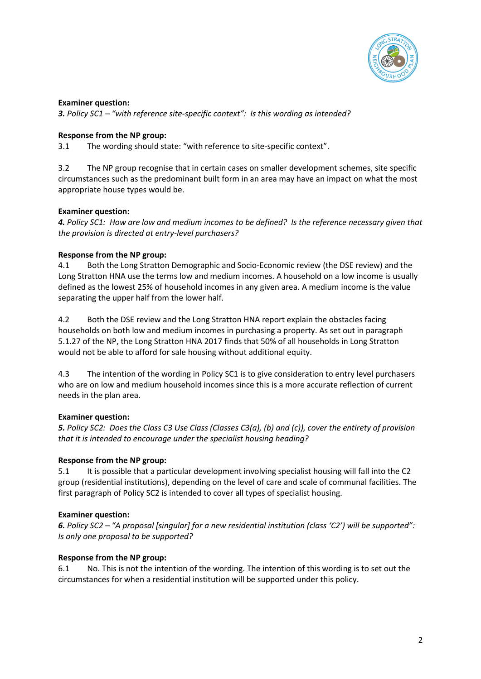

*3. Policy SC1 – "with reference site-specific context": Is this wording as intended?*

### **Response from the NP group:**

3.1 The wording should state: "with reference to site-specific context".

3.2 The NP group recognise that in certain cases on smaller development schemes, site specific circumstances such as the predominant built form in an area may have an impact on what the most appropriate house types would be.

### **Examiner question:**

*4. Policy SC1: How are low and medium incomes to be defined? Is the reference necessary given that the provision is directed at entry-level purchasers?*

### **Response from the NP group:**

4.1 Both the Long Stratton Demographic and Socio-Economic review (the DSE review) and the Long Stratton HNA use the terms low and medium incomes. A household on a low income is usually defined as the lowest 25% of household incomes in any given area. A medium income is the value separating the upper half from the lower half.

4.2 Both the DSE review and the Long Stratton HNA report explain the obstacles facing households on both low and medium incomes in purchasing a property. As set out in paragraph 5.1.27 of the NP, the Long Stratton HNA 2017 finds that 50% of all households in Long Stratton would not be able to afford for sale housing without additional equity.

4.3 The intention of the wording in Policy SC1 is to give consideration to entry level purchasers who are on low and medium household incomes since this is a more accurate reflection of current needs in the plan area.

# **Examiner question:**

*5. Policy SC2: Does the Class C3 Use Class (Classes C3(a), (b) and (c)), cover the entirety of provision that it is intended to encourage under the specialist housing heading?*

### **Response from the NP group:**

5.1 It is possible that a particular development involving specialist housing will fall into the C2 group (residential institutions), depending on the level of care and scale of communal facilities. The first paragraph of Policy SC2 is intended to cover all types of specialist housing.

# **Examiner question:**

*6. Policy SC2 – "A proposal [singular] for a new residential institution (class 'C2') will be supported": Is only one proposal to be supported?*

### **Response from the NP group:**

6.1 No. This is not the intention of the wording. The intention of this wording is to set out the circumstances for when a residential institution will be supported under this policy.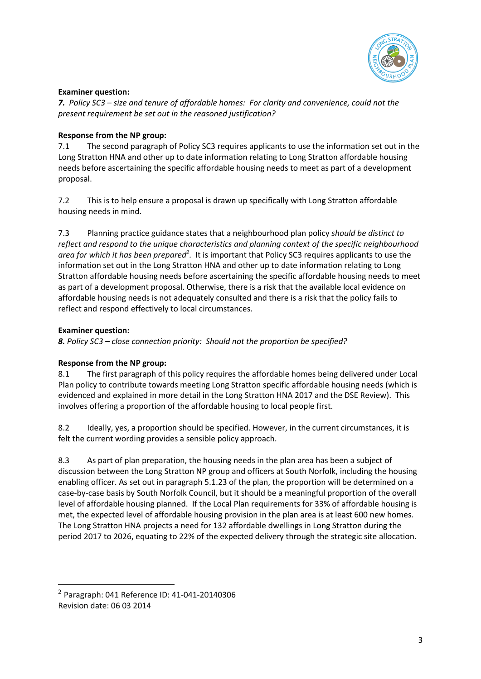

*7. Policy SC3 – size and tenure of affordable homes: For clarity and convenience, could not the present requirement be set out in the reasoned justification?*

### **Response from the NP group:**

7.1 The second paragraph of Policy SC3 requires applicants to use the information set out in the Long Stratton HNA and other up to date information relating to Long Stratton affordable housing needs before ascertaining the specific affordable housing needs to meet as part of a development proposal.

7.2 This is to help ensure a proposal is drawn up specifically with Long Stratton affordable housing needs in mind.

7.3 Planning practice guidance states that a neighbourhood plan policy *should be distinct to reflect and respond to the unique characteristics and planning context of the specific neighbourhood*  area for which it has been prepared<sup>2</sup>. It is important that Policy SC3 requires applicants to use the information set out in the Long Stratton HNA and other up to date information relating to Long Stratton affordable housing needs before ascertaining the specific affordable housing needs to meet as part of a development proposal. Otherwise, there is a risk that the available local evidence on affordable housing needs is not adequately consulted and there is a risk that the policy fails to reflect and respond effectively to local circumstances.

### **Examiner question:**

 $\overline{a}$ 

*8. Policy SC3 – close connection priority: Should not the proportion be specified?*

# **Response from the NP group:**

8.1 The first paragraph of this policy requires the affordable homes being delivered under Local Plan policy to contribute towards meeting Long Stratton specific affordable housing needs (which is evidenced and explained in more detail in the Long Stratton HNA 2017 and the DSE Review). This involves offering a proportion of the affordable housing to local people first.

8.2 Ideally, yes, a proportion should be specified. However, in the current circumstances, it is felt the current wording provides a sensible policy approach.

8.3 As part of plan preparation, the housing needs in the plan area has been a subject of discussion between the Long Stratton NP group and officers at South Norfolk, including the housing enabling officer. As set out in paragraph 5.1.23 of the plan, the proportion will be determined on a case-by-case basis by South Norfolk Council, but it should be a meaningful proportion of the overall level of affordable housing planned. If the Local Plan requirements for 33% of affordable housing is met, the expected level of affordable housing provision in the plan area is at least 600 new homes. The Long Stratton HNA projects a need for 132 affordable dwellings in Long Stratton during the period 2017 to 2026, equating to 22% of the expected delivery through the strategic site allocation.

 $^{2}$  Paragraph: 041 Reference ID: 41-041-20140306 Revision date: 06 03 2014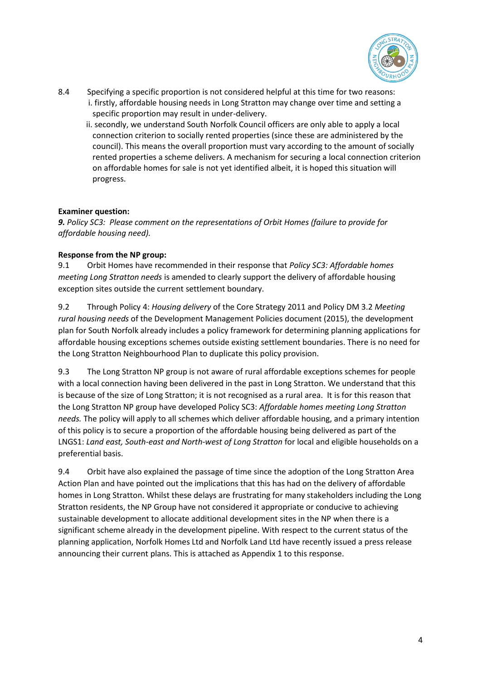

- 8.4 Specifying a specific proportion is not considered helpful at this time for two reasons: i. firstly, affordable housing needs in Long Stratton may change over time and setting a specific proportion may result in under-delivery.
	- ii. secondly, we understand South Norfolk Council officers are only able to apply a local connection criterion to socially rented properties (since these are administered by the council). This means the overall proportion must vary according to the amount of socially rented properties a scheme delivers. A mechanism for securing a local connection criterion on affordable homes for sale is not yet identified albeit, it is hoped this situation will progress.

*9. Policy SC3: Please comment on the representations of Orbit Homes (failure to provide for affordable housing need).*

### **Response from the NP group:**

9.1 Orbit Homes have recommended in their response that *Policy SC3: Affordable homes meeting Long Stratton needs* is amended to clearly support the delivery of affordable housing exception sites outside the current settlement boundary.

9.2 Through Policy 4: *Housing delivery* of the Core Strategy 2011 and Policy DM 3.2 *Meeting rural housing needs* of the Development Management Policies document (2015), the development plan for South Norfolk already includes a policy framework for determining planning applications for affordable housing exceptions schemes outside existing settlement boundaries. There is no need for the Long Stratton Neighbourhood Plan to duplicate this policy provision.

9.3 The Long Stratton NP group is not aware of rural affordable exceptions schemes for people with a local connection having been delivered in the past in Long Stratton. We understand that this is because of the size of Long Stratton; it is not recognised as a rural area. It is for this reason that the Long Stratton NP group have developed Policy SC3: *Affordable homes meeting Long Stratton needs.* The policy will apply to all schemes which deliver affordable housing, and a primary intention of this policy is to secure a proportion of the affordable housing being delivered as part of the LNGS1: *Land east, South-east and North-west of Long Stratton* for local and eligible households on a preferential basis.

9.4 Orbit have also explained the passage of time since the adoption of the Long Stratton Area Action Plan and have pointed out the implications that this has had on the delivery of affordable homes in Long Stratton. Whilst these delays are frustrating for many stakeholders including the Long Stratton residents, the NP Group have not considered it appropriate or conducive to achieving sustainable development to allocate additional development sites in the NP when there is a significant scheme already in the development pipeline. With respect to the current status of the planning application, Norfolk Homes Ltd and Norfolk Land Ltd have recently issued a press release announcing their current plans. This is attached as Appendix 1 to this response.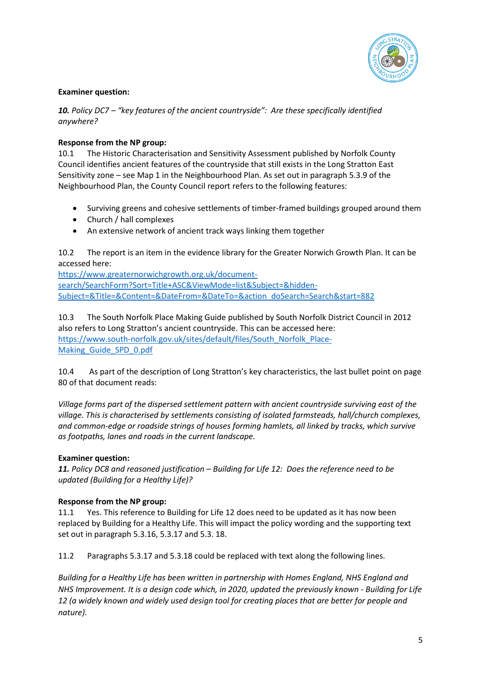

*10. Policy DC7 – "key features of the ancient countryside": Are these specifically identified anywhere?*

#### **Response from the NP group:**

10.1 The Historic Characterisation and Sensitivity Assessment published by Norfolk County Council identifies ancient features of the countryside that still exists in the Long Stratton East Sensitivity zone – see Map 1 in the Neighbourhood Plan. As set out in paragraph 5.3.9 of the Neighbourhood Plan, the County Council report refers to the following features:

- Surviving greens and cohesive settlements of timber-framed buildings grouped around them
- Church / hall complexes
- An extensive network of ancient track ways linking them together

10.2 The report is an item in the evidence library for the Greater Norwich Growth Plan. It can be accessed here:

[https://www.greaternorwichgrowth.org.uk/document](https://www.greaternorwichgrowth.org.uk/document-search/SearchForm?Sort=Title+ASC&ViewMode=list&Subject=&hidden-Subject=&Title=&Content=&DateFrom=&DateTo=&action_doSearch=Search&start=882)[search/SearchForm?Sort=Title+ASC&ViewMode=list&Subject=&hidden-](https://www.greaternorwichgrowth.org.uk/document-search/SearchForm?Sort=Title+ASC&ViewMode=list&Subject=&hidden-Subject=&Title=&Content=&DateFrom=&DateTo=&action_doSearch=Search&start=882)[Subject=&Title=&Content=&DateFrom=&DateTo=&action\\_doSearch=Search&start=882](https://www.greaternorwichgrowth.org.uk/document-search/SearchForm?Sort=Title+ASC&ViewMode=list&Subject=&hidden-Subject=&Title=&Content=&DateFrom=&DateTo=&action_doSearch=Search&start=882)

10.3 The South Norfolk Place Making Guide published by South Norfolk District Council in 2012 also refers to Long Stratton's ancient countryside. This can be accessed here: [https://www.south-norfolk.gov.uk/sites/default/files/South\\_Norfolk\\_Place-](https://www.south-norfolk.gov.uk/sites/default/files/South_Norfolk_Place-Making_Guide_SPD_0.pdf)[Making\\_Guide\\_SPD\\_0.pdf](https://www.south-norfolk.gov.uk/sites/default/files/South_Norfolk_Place-Making_Guide_SPD_0.pdf)

10.4 As part of the description of Long Stratton's key characteristics, the last bullet point on page 80 of that document reads:

*Village forms part of the dispersed settlement pattern with ancient countryside surviving east of the village. This is characterised by settlements consisting of isolated farmsteads, hall/church complexes, and common-edge or roadside strings of houses forming hamlets, all linked by tracks, which survive as footpaths, lanes and roads in the current landscape.*

#### **Examiner question:**

*11. Policy DC8 and reasoned justification – Building for Life 12: Does the reference need to be updated (Building for a Healthy Life)?*

#### **Response from the NP group:**

11.1 Yes. This reference to Building for Life 12 does need to be updated as it has now been replaced by Building for a Healthy Life. This will impact the policy wording and the supporting text set out in paragraph 5.3.16, 5.3.17 and 5.3. 18.

11.2 Paragraphs 5.3.17 and 5.3.18 could be replaced with text along the following lines.

*Building for a Healthy Life has been written in partnership with Homes England, NHS England and NHS Improvement. It is a design code which, in 2020, updated the previously known - Building for Life 12 (a widely known and widely used design tool for creating places that are better for people and nature).*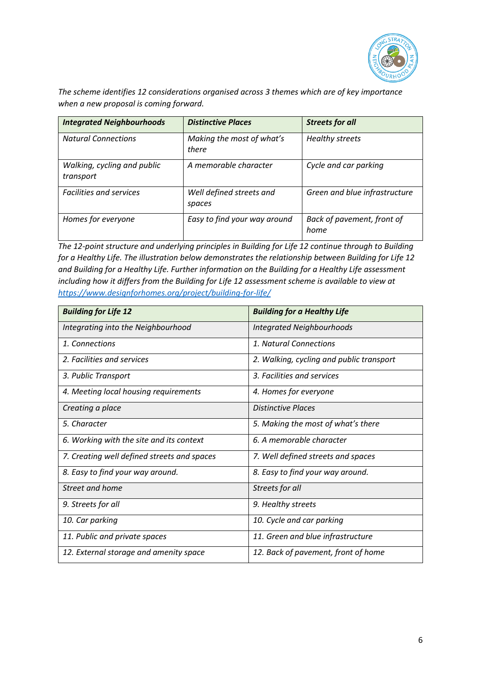

*The scheme identifies 12 considerations organised across 3 themes which are of key importance when a new proposal is coming forward.*

| <b>Integrated Neighbourhoods</b>         | <b>Distinctive Places</b>          | <b>Streets for all</b>             |
|------------------------------------------|------------------------------------|------------------------------------|
| <b>Natural Connections</b>               | Making the most of what's<br>there | <b>Healthy streets</b>             |
| Walking, cycling and public<br>transport | A memorable character              | Cycle and car parking              |
| <b>Facilities and services</b>           | Well defined streets and<br>spaces | Green and blue infrastructure      |
| Homes for everyone                       | Easy to find your way around       | Back of pavement, front of<br>home |

*The 12-point structure and underlying principles in Building for Life 12 continue through to Building for a Healthy Life. The illustration below demonstrates the relationship between Building for Life 12 and Building for a Healthy Life. Further information on the Building for a Healthy Life assessment including how it differs from the Building for Life 12 assessment scheme is available to view at <https://www.designforhomes.org/project/building-for-life/>*

| <b>Building for Life 12</b>                 | <b>Building for a Healthy Life</b>       |
|---------------------------------------------|------------------------------------------|
| Integrating into the Neighbourhood          | <b>Integrated Neighbourhoods</b>         |
| 1. Connections                              | 1. Natural Connections                   |
| 2. Facilities and services                  | 2. Walking, cycling and public transport |
| 3. Public Transport                         | 3. Facilities and services               |
| 4. Meeting local housing requirements       | 4. Homes for everyone                    |
| Creating a place                            | Distinctive Places                       |
| 5. Character                                | 5. Making the most of what's there       |
| 6. Working with the site and its context    | 6. A memorable character                 |
| 7. Creating well defined streets and spaces | 7. Well defined streets and spaces       |
| 8. Easy to find your way around.            | 8. Easy to find your way around.         |
| Street and home                             | Streets for all                          |
| 9. Streets for all                          | 9. Healthy streets                       |
| 10. Car parking                             | 10. Cycle and car parking                |
| 11. Public and private spaces               | 11. Green and blue infrastructure        |
| 12. External storage and amenity space      | 12. Back of pavement, front of home      |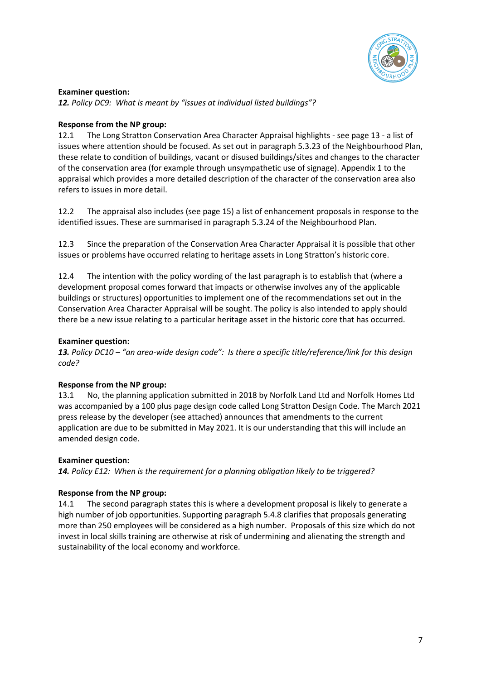

*12. Policy DC9: What is meant by "issues at individual listed buildings"?*

### **Response from the NP group:**

12.1 The Long Stratton Conservation Area Character Appraisal highlights - see page 13 - a list of issues where attention should be focused. As set out in paragraph 5.3.23 of the Neighbourhood Plan, these relate to condition of buildings, vacant or disused buildings/sites and changes to the character of the conservation area (for example through unsympathetic use of signage). Appendix 1 to the appraisal which provides a more detailed description of the character of the conservation area also refers to issues in more detail.

12.2 The appraisal also includes (see page 15) a list of enhancement proposals in response to the identified issues. These are summarised in paragraph 5.3.24 of the Neighbourhood Plan.

12.3 Since the preparation of the Conservation Area Character Appraisal it is possible that other issues or problems have occurred relating to heritage assets in Long Stratton's historic core.

12.4 The intention with the policy wording of the last paragraph is to establish that (where a development proposal comes forward that impacts or otherwise involves any of the applicable buildings or structures) opportunities to implement one of the recommendations set out in the Conservation Area Character Appraisal will be sought. The policy is also intended to apply should there be a new issue relating to a particular heritage asset in the historic core that has occurred.

#### **Examiner question:**

*13. Policy DC10 – "an area-wide design code": Is there a specific title/reference/link for this design code?*

### **Response from the NP group:**

13.1 No, the planning application submitted in 2018 by Norfolk Land Ltd and Norfolk Homes Ltd was accompanied by a 100 plus page design code called Long Stratton Design Code. The March 2021 press release by the developer (see attached) announces that amendments to the current application are due to be submitted in May 2021. It is our understanding that this will include an amended design code.

### **Examiner question:**

*14. Policy E12: When is the requirement for a planning obligation likely to be triggered?*

### **Response from the NP group:**

14.1 The second paragraph states this is where a development proposal is likely to generate a high number of job opportunities. Supporting paragraph 5.4.8 clarifies that proposals generating more than 250 employees will be considered as a high number. Proposals of this size which do not invest in local skills training are otherwise at risk of undermining and alienating the strength and sustainability of the local economy and workforce.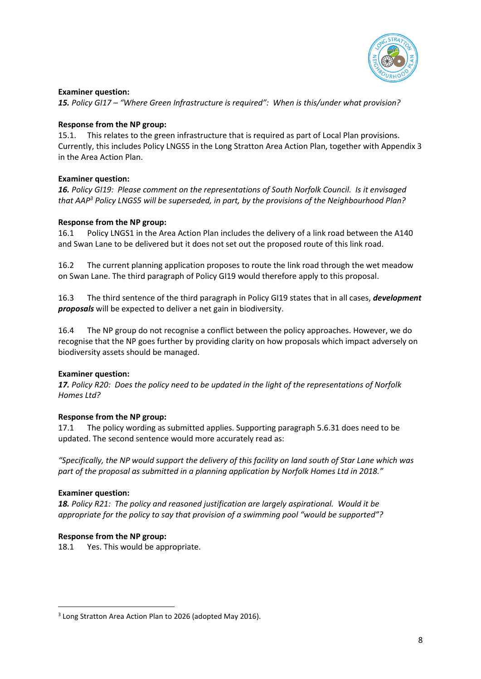

*15. Policy GI17 – "Where Green Infrastructure is required": When is this/under what provision?*

#### **Response from the NP group:**

15.1. This relates to the green infrastructure that is required as part of Local Plan provisions. Currently, this includes Policy LNGS5 in the Long Stratton Area Action Plan, together with Appendix 3 in the Area Action Plan.

#### **Examiner question:**

*16. Policy GI19: Please comment on the representations of South Norfolk Council. Is it envisaged that AAP<sup>3</sup> Policy LNGS5 will be superseded, in part, by the provisions of the Neighbourhood Plan?*

#### **Response from the NP group:**

16.1 Policy LNGS1 in the Area Action Plan includes the delivery of a link road between the A140 and Swan Lane to be delivered but it does not set out the proposed route of this link road.

16.2 The current planning application proposes to route the link road through the wet meadow on Swan Lane. The third paragraph of Policy GI19 would therefore apply to this proposal.

16.3 The third sentence of the third paragraph in Policy GI19 states that in all cases, *development proposals* will be expected to deliver a net gain in biodiversity.

16.4 The NP group do not recognise a conflict between the policy approaches. However, we do recognise that the NP goes further by providing clarity on how proposals which impact adversely on biodiversity assets should be managed.

### **Examiner question:**

*17. Policy R20: Does the policy need to be updated in the light of the representations of Norfolk Homes Ltd?*

### **Response from the NP group:**

17.1 The policy wording as submitted applies. Supporting paragraph 5.6.31 does need to be updated. The second sentence would more accurately read as:

*"Specifically, the NP would support the delivery of this facility on land south of Star Lane which was part of the proposal as submitted in a planning application by Norfolk Homes Ltd in 2018."*

#### **Examiner question:**

**.** 

*18. Policy R21: The policy and reasoned justification are largely aspirational. Would it be appropriate for the policy to say that provision of a swimming pool "would be supported"?*

#### **Response from the NP group:**

18.1 Yes. This would be appropriate.

<sup>&</sup>lt;sup>3</sup> Long Stratton Area Action Plan to 2026 (adopted May 2016).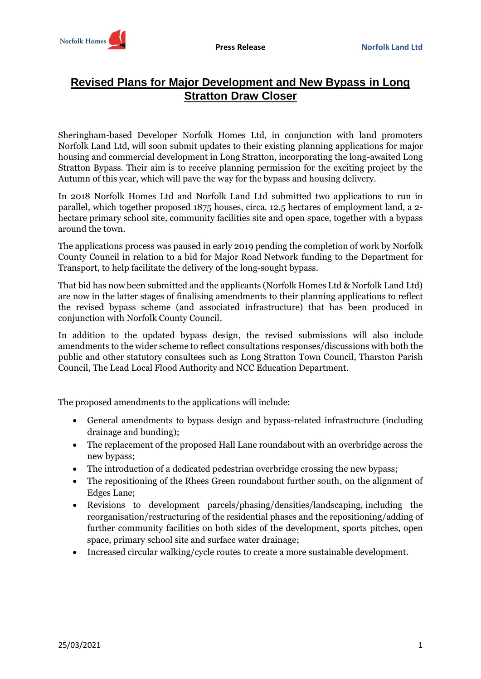

# **Revised Plans for Major Development and New Bypass in Long Stratton Draw Closer**

Sheringham-based Developer Norfolk Homes Ltd, in conjunction with land promoters Norfolk Land Ltd, will soon submit updates to their existing planning applications for major housing and commercial development in Long Stratton, incorporating the long-awaited Long Stratton Bypass. Their aim is to receive planning permission for the exciting project by the Autumn of this year, which will pave the way for the bypass and housing delivery.

In 2018 Norfolk Homes Ltd and Norfolk Land Ltd submitted two applications to run in parallel, which together proposed 1875 houses, circa. 12.5 hectares of employment land, a 2 hectare primary school site, community facilities site and open space, together with a bypass around the town.

The applications process was paused in early 2019 pending the completion of work by Norfolk County Council in relation to a bid for Major Road Network funding to the Department for Transport, to help facilitate the delivery of the long-sought bypass.

That bid has now been submitted and the applicants (Norfolk Homes Ltd & Norfolk Land Ltd) are now in the latter stages of finalising amendments to their planning applications to reflect the revised bypass scheme (and associated infrastructure) that has been produced in conjunction with Norfolk County Council.

In addition to the updated bypass design, the revised submissions will also include amendments to the wider scheme to reflect consultations responses/discussions with both the public and other statutory consultees such as Long Stratton Town Council, Tharston Parish Council, The Lead Local Flood Authority and NCC Education Department.

The proposed amendments to the applications will include:

- General amendments to bypass design and bypass-related infrastructure (including drainage and bunding);
- The replacement of the proposed Hall Lane roundabout with an overbridge across the new bypass;
- The introduction of a dedicated pedestrian overbridge crossing the new bypass;
- The repositioning of the Rhees Green roundabout further south, on the alignment of Edges Lane;
- Revisions to development parcels/phasing/densities/landscaping, including the reorganisation/restructuring of the residential phases and the repositioning/adding of further community facilities on both sides of the development, sports pitches, open space, primary school site and surface water drainage;
- Increased circular walking/cycle routes to create a more sustainable development.